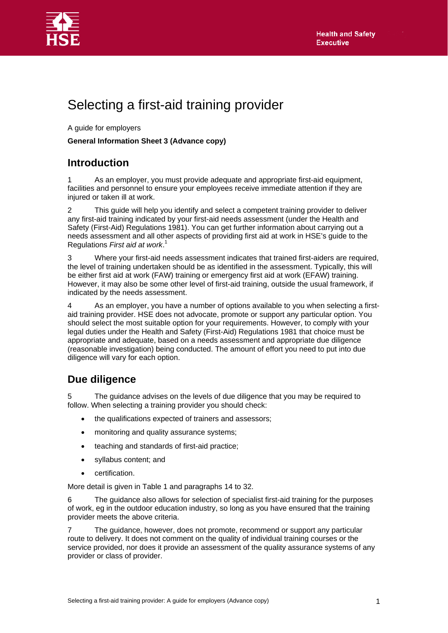



# Selecting a first-aid training provider

A guide for employers

#### **General Information Sheet 3 (Advance copy)**

# **Introduction**

As an employer, you must provide adequate and appropriate first-aid equipment, facilities and personnel to ensure your employees receive immediate attention if they are injured or taken ill at work.

2 This guide will help you identify and select a competent training provider to deliver any first-aid training indicated by your first-aid needs assessment (under the Health and Safety (First-Aid) Regulations 1981). You can get further information about carrying out a needs assessment and all other aspects of providing first aid at work in HSE's guide to the Regulations *First aid at work*. 1

3 Where your first-aid needs assessment indicates that trained first-aiders are required, the level of training undertaken should be as identified in the assessment. Typically, this will be either first aid at work (FAW) training or emergency first aid at work (EFAW) training. However, it may also be some other level of first-aid training, outside the usual framework, if indicated by the needs assessment.

4 As an employer, you have a number of options available to you when selecting a firstaid training provider. HSE does not advocate, promote or support any particular option. You should select the most suitable option for your requirements. However, to comply with your legal duties under the Health and Safety (First-Aid) Regulations 1981 that choice must be appropriate and adequate, based on a needs assessment and appropriate due diligence (reasonable investigation) being conducted. The amount of effort you need to put into due diligence will vary for each option.

### **Due diligence**

5 The guidance advises on the levels of due diligence that you may be required to follow. When selecting a training provider you should check:

- the qualifications expected of trainers and assessors;
- monitoring and quality assurance systems;
- teaching and standards of first-aid practice;
- syllabus content; and
- certification.

More detail is given in Table 1 and paragraphs 14 to 32.

6 The guidance also allows for selection of specialist first-aid training for the purposes of work, eg in the outdoor education industry, so long as you have ensured that the training provider meets the above criteria.

7 The guidance, however, does not promote, recommend or support any particular route to delivery. It does not comment on the quality of individual training courses or the service provided, nor does it provide an assessment of the quality assurance systems of any provider or class of provider.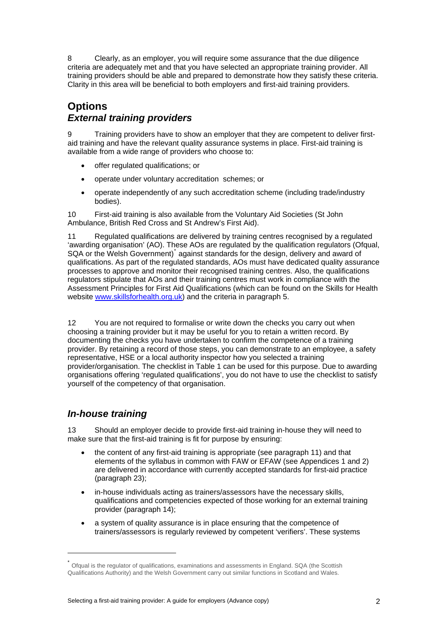8 Clearly, as an employer, you will require some assurance that the due diligence criteria are adequately met and that you have selected an appropriate training provider. All training providers should be able and prepared to demonstrate how they satisfy these criteria. Clarity in this area will be beneficial to both employers and first-aid training providers.

#### **Options**  *External training providers*

9 Training providers have to show an employer that they are competent to deliver firstaid training and have the relevant quality assurance systems in place. First-aid training is available from a wide range of providers who choose to:

- offer regulated qualifications; or
- operate under voluntary accreditation schemes; or
- operate independently of any such accreditation scheme (including trade/industry bodies).

10 First-aid training is also available from the Voluntary Aid Societies (St John Ambulance, British Red Cross and St Andrew's First Aid).

Regulated qualifications are delivered by training centres recognised by a regulated 'awarding organisation' (AO). These AOs are regulated by the qualification regulators (Ofqual, SQA or the Welsh Government)<sup>[\\*](#page-1-0)</sup> against standards for the design, delivery and award of qualifications. As part of the regulated standards, AOs must have dedicated quality assurance processes to approve and monitor their recognised training centres. Also, the qualifications regulators stipulate that AOs and their training centres must work in compliance with the Assessment Principles for First Aid Qualifications (which can be found on the Skills for Health website [www.skillsforhealth.org.uk](http://www.skillsforhealth.org.uk/)) and the criteria in paragraph 5.

12 You are not required to formalise or write down the checks you carry out when choosing a training provider but it may be useful for you to retain a written record. By documenting the checks you have undertaken to confirm the competence of a training provider. By retaining a record of those steps, you can demonstrate to an employee, a safety representative, HSE or a local authority inspector how you selected a training provider/organisation. The checklist in Table 1 can be used for this purpose. Due to awarding organisations offering 'regulated qualifications', you do not have to use the checklist to satisfy yourself of the competency of that organisation.

#### *In-house training*

l

13 Should an employer decide to provide first-aid training in-house they will need to make sure that the first-aid training is fit for purpose by ensuring:

- the content of any first-aid training is appropriate (see paragraph 11) and that elements of the syllabus in common with FAW or EFAW (see Appendices 1 and 2) are delivered in accordance with currently accepted standards for first-aid practice (paragraph 23);
- in-house individuals acting as trainers/assessors have the necessary skills, qualifications and competencies expected of those working for an external training provider (paragraph 14);
- a system of quality assurance is in place ensuring that the competence of trainers/assessors is regularly reviewed by competent 'verifiers'. These systems

<span id="page-1-0"></span>Ofqual is the regulator of qualifications, examinations and assessments in England. SQA (the Scottish Qualifications Authority) and the Welsh Government carry out similar functions in Scotland and Wales.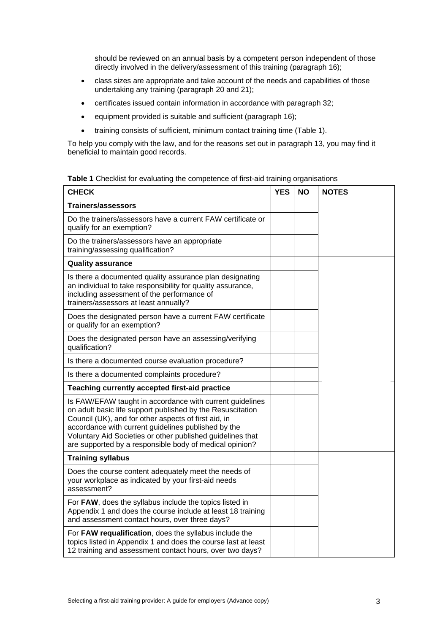should be reviewed on an annual basis by a competent person independent of those directly involved in the delivery/assessment of this training (paragraph 16);

- class sizes are appropriate and take account of the needs and capabilities of those undertaking any training (paragraph 20 and 21);
- certificates issued contain information in accordance with paragraph 32;
- equipment provided is suitable and sufficient (paragraph 16);
- training consists of sufficient, minimum contact training time (Table 1).

To help you comply with the law, and for the reasons set out in paragraph 13, you may find it beneficial to maintain good records.

| Table 1 Checklist for evaluating the competence of first-aid training organisations |
|-------------------------------------------------------------------------------------|
|-------------------------------------------------------------------------------------|

| <b>CHECK</b>                                                                                                                                                                                                                                                                                                                                                   | <b>YES</b> | <b>NO</b> | <b>NOTES</b> |
|----------------------------------------------------------------------------------------------------------------------------------------------------------------------------------------------------------------------------------------------------------------------------------------------------------------------------------------------------------------|------------|-----------|--------------|
| Trainers/assessors                                                                                                                                                                                                                                                                                                                                             |            |           |              |
| Do the trainers/assessors have a current FAW certificate or<br>qualify for an exemption?                                                                                                                                                                                                                                                                       |            |           |              |
| Do the trainers/assessors have an appropriate<br>training/assessing qualification?                                                                                                                                                                                                                                                                             |            |           |              |
| <b>Quality assurance</b>                                                                                                                                                                                                                                                                                                                                       |            |           |              |
| Is there a documented quality assurance plan designating<br>an individual to take responsibility for quality assurance,<br>including assessment of the performance of<br>trainers/assessors at least annually?                                                                                                                                                 |            |           |              |
| Does the designated person have a current FAW certificate<br>or qualify for an exemption?                                                                                                                                                                                                                                                                      |            |           |              |
| Does the designated person have an assessing/verifying<br>qualification?                                                                                                                                                                                                                                                                                       |            |           |              |
| Is there a documented course evaluation procedure?                                                                                                                                                                                                                                                                                                             |            |           |              |
| Is there a documented complaints procedure?                                                                                                                                                                                                                                                                                                                    |            |           |              |
| Teaching currently accepted first-aid practice                                                                                                                                                                                                                                                                                                                 |            |           |              |
| Is FAW/EFAW taught in accordance with current guidelines<br>on adult basic life support published by the Resuscitation<br>Council (UK), and for other aspects of first aid, in<br>accordance with current guidelines published by the<br>Voluntary Aid Societies or other published guidelines that<br>are supported by a responsible body of medical opinion? |            |           |              |
| <b>Training syllabus</b>                                                                                                                                                                                                                                                                                                                                       |            |           |              |
| Does the course content adequately meet the needs of<br>your workplace as indicated by your first-aid needs<br>assessment?                                                                                                                                                                                                                                     |            |           |              |
| For FAW, does the syllabus include the topics listed in<br>Appendix 1 and does the course include at least 18 training<br>and assessment contact hours, over three days?                                                                                                                                                                                       |            |           |              |
| For FAW requalification, does the syllabus include the<br>topics listed in Appendix 1 and does the course last at least<br>12 training and assessment contact hours, over two days?                                                                                                                                                                            |            |           |              |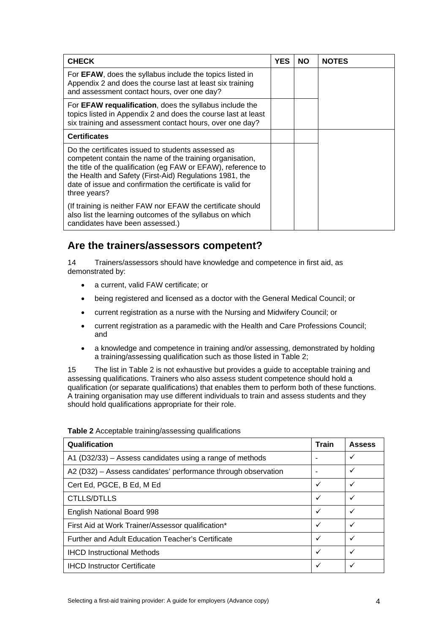| <b>CHECK</b>                                                                                                                                                                                                                                                                                                              | <b>YES</b> | <b>NO</b> | <b>NOTES</b> |
|---------------------------------------------------------------------------------------------------------------------------------------------------------------------------------------------------------------------------------------------------------------------------------------------------------------------------|------------|-----------|--------------|
| For <b>EFAW</b> , does the syllabus include the topics listed in<br>Appendix 2 and does the course last at least six training<br>and assessment contact hours, over one day?                                                                                                                                              |            |           |              |
| For EFAW requalification, does the syllabus include the<br>topics listed in Appendix 2 and does the course last at least<br>six training and assessment contact hours, over one day?                                                                                                                                      |            |           |              |
| <b>Certificates</b>                                                                                                                                                                                                                                                                                                       |            |           |              |
| Do the certificates issued to students assessed as<br>competent contain the name of the training organisation,<br>the title of the qualification (eg FAW or EFAW), reference to<br>the Health and Safety (First-Aid) Regulations 1981, the<br>date of issue and confirmation the certificate is valid for<br>three years? |            |           |              |
| (If training is neither FAW nor EFAW the certificate should<br>also list the learning outcomes of the syllabus on which<br>candidates have been assessed.)                                                                                                                                                                |            |           |              |

# **Are the trainers/assessors competent?**

14 Trainers/assessors should have knowledge and competence in first aid, as demonstrated by:

- a current, valid FAW certificate; or
- being registered and licensed as a doctor with the General Medical Council; or
- current registration as a nurse with the Nursing and Midwifery Council; or
- current registration as a paramedic with the Health and Care Professions Council; and
- a knowledge and competence in training and/or assessing, demonstrated by holding a training/assessing qualification such as those listed in Table 2;

15 The list in Table 2 is not exhaustive but provides a guide to acceptable training and assessing qualifications. Trainers who also assess student competence should hold a qualification (or separate qualifications) that enables them to perform both of these functions. A training organisation may use different individuals to train and assess students and they should hold qualifications appropriate for their role.

| Qualification                                                 | <b>Train</b> | <b>Assess</b> |
|---------------------------------------------------------------|--------------|---------------|
| A1 (D32/33) – Assess candidates using a range of methods      |              | ✓             |
| A2 (D32) - Assess candidates' performance through observation |              | ✓             |
| Cert Ed, PGCE, B Ed, M Ed                                     | ✓            | ✓             |
| CTLLS/DTLLS                                                   | ✓            | ✓             |
| English National Board 998                                    | ✓            | ✓             |
| First Aid at Work Trainer/Assessor qualification*             | ✓            | ✓             |
| Further and Adult Education Teacher's Certificate             | ✓            | ✓             |
| <b>IHCD Instructional Methods</b>                             | ✓            | ✓             |
| <b>IHCD Instructor Certificate</b>                            | ✓            | ✓             |

**Table 2** Acceptable training/assessing qualifications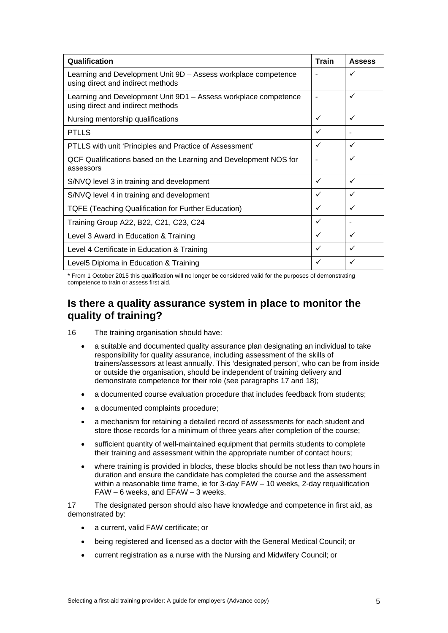| Qualification                                                                                        | <b>Train</b> | <b>Assess</b> |
|------------------------------------------------------------------------------------------------------|--------------|---------------|
| Learning and Development Unit 9D - Assess workplace competence<br>using direct and indirect methods  |              | ✓             |
| Learning and Development Unit 9D1 - Assess workplace competence<br>using direct and indirect methods |              | ✓             |
| Nursing mentorship qualifications                                                                    | ✓            | ✓             |
| <b>PTLLS</b>                                                                                         | ✓            |               |
| PTLLS with unit 'Principles and Practice of Assessment'                                              | ✓            | ✓             |
| QCF Qualifications based on the Learning and Development NOS for<br>assessors                        |              | ✓             |
| S/NVQ level 3 in training and development                                                            | ✓            | ✓             |
| S/NVQ level 4 in training and development                                                            | ✓            | ✓             |
| <b>TQFE (Teaching Qualification for Further Education)</b>                                           | ✓            | ✓             |
| Training Group A22, B22, C21, C23, C24                                                               | ✓            |               |
| Level 3 Award in Education & Training                                                                | ✓            | ✓             |
| Level 4 Certificate in Education & Training                                                          | ✓            | ✓             |
| Level5 Diploma in Education & Training                                                               | ✓            | ✓             |

\* From 1 October 2015 this qualification will no longer be considered valid for the purposes of demonstrating competence to train or assess first aid.

# **Is there a quality assurance system in place to monitor the quality of training?**

16 The training organisation should have:

- a suitable and documented quality assurance plan designating an individual to take responsibility for quality assurance, including assessment of the skills of trainers/assessors at least annually. This 'designated person', who can be from inside or outside the organisation, should be independent of training delivery and demonstrate competence for their role (see paragraphs 17 and 18);
- a documented course evaluation procedure that includes feedback from students;
- a documented complaints procedure;
- a mechanism for retaining a detailed record of assessments for each student and store those records for a minimum of three years after completion of the course;
- sufficient quantity of well-maintained equipment that permits students to complete their training and assessment within the appropriate number of contact hours;
- where training is provided in blocks, these blocks should be not less than two hours in duration and ensure the candidate has completed the course and the assessment within a reasonable time frame, ie for 3-day FAW – 10 weeks, 2-day requalification FAW – 6 weeks, and EFAW – 3 weeks.

17 The designated person should also have knowledge and competence in first aid, as demonstrated by:

- a current, valid FAW certificate; or
- being registered and licensed as a doctor with the General Medical Council; or
- current registration as a nurse with the Nursing and Midwifery Council; or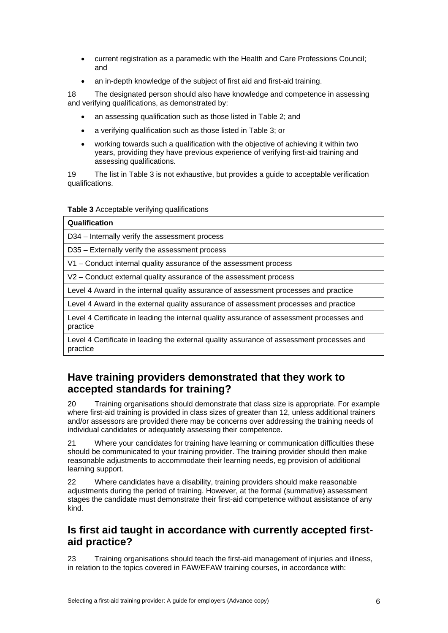- current registration as a paramedic with the Health and Care Professions Council; and
- an in-depth knowledge of the subject of first aid and first-aid training.

18 The designated person should also have knowledge and competence in assessing and verifying qualifications, as demonstrated by:

- an assessing qualification such as those listed in Table 2; and
- a verifying qualification such as those listed in Table 3; or
- working towards such a qualification with the objective of achieving it within two years, providing they have previous experience of verifying first-aid training and assessing qualifications.

19 The list in Table 3 is not exhaustive, but provides a guide to acceptable verification qualifications.

**Table 3** Acceptable verifying qualifications

| Qualification                                                                                         |
|-------------------------------------------------------------------------------------------------------|
| D34 - Internally verify the assessment process                                                        |
| D35 - Externally verify the assessment process                                                        |
| V1 - Conduct internal quality assurance of the assessment process                                     |
| V2 – Conduct external quality assurance of the assessment process                                     |
| Level 4 Award in the internal quality assurance of assessment processes and practice                  |
| Level 4 Award in the external quality assurance of assessment processes and practice                  |
| Level 4 Certificate in leading the internal quality assurance of assessment processes and<br>practice |
| . how all a cartificate in leading the external quality assurance of assessment processes and         |

ll 4 Certificate in leading the external quality assurance of assessment processes anc practice

# **Have training providers demonstrated that they work to accepted standards for training?**

20 Training organisations should demonstrate that class size is appropriate. For example where first-aid training is provided in class sizes of greater than 12, unless additional trainers and/or assessors are provided there may be concerns over addressing the training needs of individual candidates or adequately assessing their competence.

21 Where your candidates for training have learning or communication difficulties these should be communicated to your training provider. The training provider should then make reasonable adjustments to accommodate their learning needs, eg provision of additional learning support.

22 Where candidates have a disability, training providers should make reasonable adjustments during the period of training. However, at the formal (summative) assessment stages the candidate must demonstrate their first-aid competence without assistance of any kind.

# **Is first aid taught in accordance with currently accepted firstaid practice?**

23 Training organisations should teach the first-aid management of injuries and illness, in relation to the topics covered in FAW/EFAW training courses, in accordance with: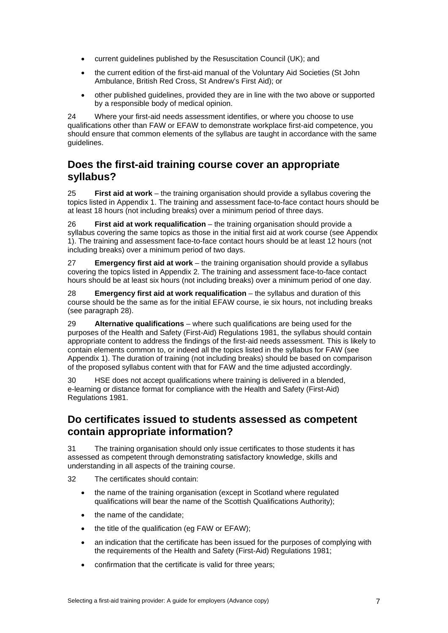- current guidelines published by the Resuscitation Council (UK); and
- the current edition of the first-aid manual of the Voluntary Aid Societies (St John Ambulance, British Red Cross, St Andrew's First Aid); or
- other published guidelines, provided they are in line with the two above or supported by a responsible body of medical opinion.

24 Where your first-aid needs assessment identifies, or where you choose to use qualifications other than FAW or EFAW to demonstrate workplace first-aid competence, you should ensure that common elements of the syllabus are taught in accordance with the same guidelines.

# **Does the first-aid training course cover an appropriate syllabus?**

25 **First aid at work** – the training organisation should provide a syllabus covering the topics listed in Appendix 1. The training and assessment face-to-face contact hours should be at least 18 hours (not including breaks) over a minimum period of three days.

26 **First aid at work requalification** – the training organisation should provide a syllabus covering the same topics as those in the initial first aid at work course (see Appendix 1). The training and assessment face-to-face contact hours should be at least 12 hours (not including breaks) over a minimum period of two days.

27 **Emergency first aid at work** – the training organisation should provide a syllabus covering the topics listed in Appendix 2. The training and assessment face-to-face contact hours should be at least six hours (not including breaks) over a minimum period of one day.

28 **Emergency first aid at work requalification** – the syllabus and duration of this course should be the same as for the initial EFAW course, ie six hours, not including breaks (see paragraph 28).

29 **Alternative qualifications** – where such qualifications are being used for the purposes of the Health and Safety (First-Aid) Regulations 1981, the syllabus should contain appropriate content to address the findings of the first-aid needs assessment. This is likely to contain elements common to, or indeed all the topics listed in the syllabus for FAW (see Appendix 1). The duration of training (not including breaks) should be based on comparison of the proposed syllabus content with that for FAW and the time adjusted accordingly.

30 HSE does not accept qualifications where training is delivered in a blended, e-learning or distance format for compliance with the Health and Safety (First-Aid) Regulations 1981.

### **Do certificates issued to students assessed as competent contain appropriate information?**

31 The training organisation should only issue certificates to those students it has assessed as competent through demonstrating satisfactory knowledge, skills and understanding in all aspects of the training course.

32 The certificates should contain:

- the name of the training organisation (except in Scotland where regulated qualifications will bear the name of the Scottish Qualifications Authority);
- the name of the candidate;
- the title of the qualification (eg FAW or EFAW);
- an indication that the certificate has been issued for the purposes of complying with the requirements of the Health and Safety (First-Aid) Regulations 1981;
- confirmation that the certificate is valid for three years;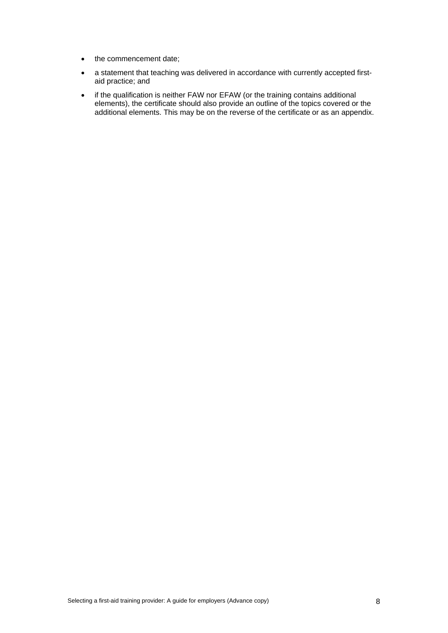- the commencement date;
- a statement that teaching was delivered in accordance with currently accepted firstaid practice; and
- if the qualification is neither FAW nor EFAW (or the training contains additional elements), the certificate should also provide an outline of the topics covered or the additional elements. This may be on the reverse of the certificate or as an appendix.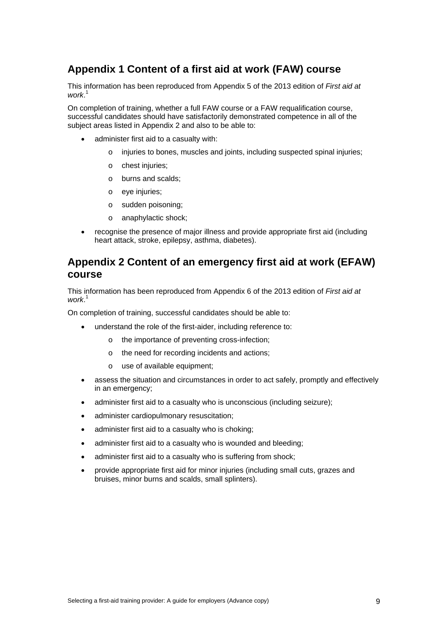# **Appendix 1 Content of a first aid at work (FAW) course**

This information has been reproduced from Appendix 5 of the 2013 edition of *First aid at work*. 1

On completion of training, whether a full FAW course or a FAW requalification course, successful candidates should have satisfactorily demonstrated competence in all of the subject areas listed in Appendix 2 and also to be able to:

- administer first aid to a casualty with:
	- o injuries to bones, muscles and joints, including suspected spinal injuries;
	- o chest injuries;
	- o burns and scalds;
	- o eye injuries;
	- o sudden poisoning;
	- o anaphylactic shock;
- recognise the presence of major illness and provide appropriate first aid (including heart attack, stroke, epilepsy, asthma, diabetes).

### **Appendix 2 Content of an emergency first aid at work (EFAW) course**

This information has been reproduced from Appendix 6 of the 2013 edition of *First aid at work*. 1

On completion of training, successful candidates should be able to:

- understand the role of the first-aider, including reference to:
	- o the importance of preventing cross-infection;
	- o the need for recording incidents and actions;
	- o use of available equipment;
- assess the situation and circumstances in order to act safely, promptly and effectively in an emergency;
- administer first aid to a casualty who is unconscious (including seizure);
- administer cardiopulmonary resuscitation;
- administer first aid to a casualty who is choking;
- administer first aid to a casualty who is wounded and bleeding;
- administer first aid to a casualty who is suffering from shock;
- provide appropriate first aid for minor injuries (including small cuts, grazes and bruises, minor burns and scalds, small splinters).